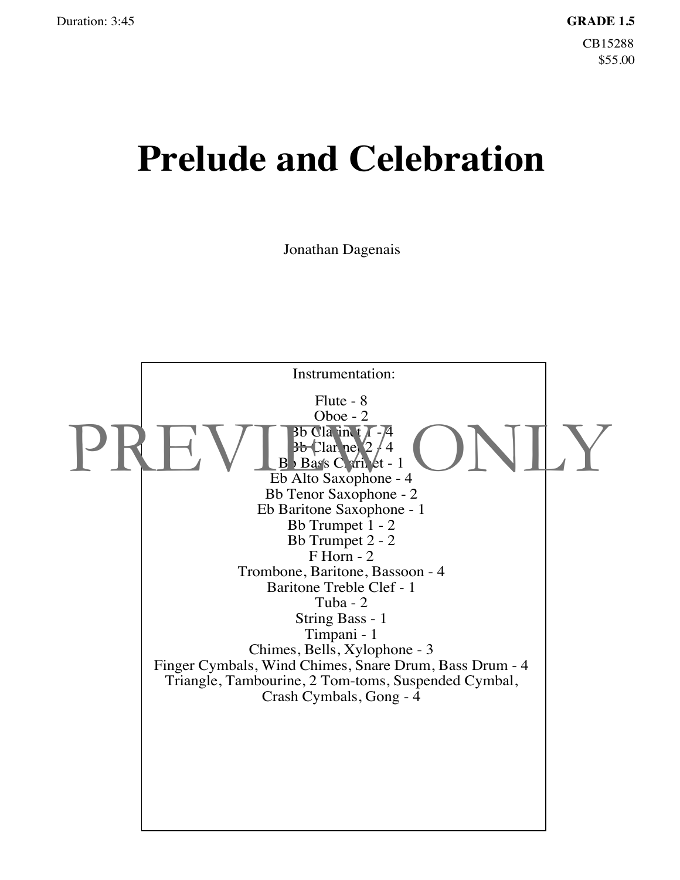## **Prelude and Celebration**

Jonathan Dagenais

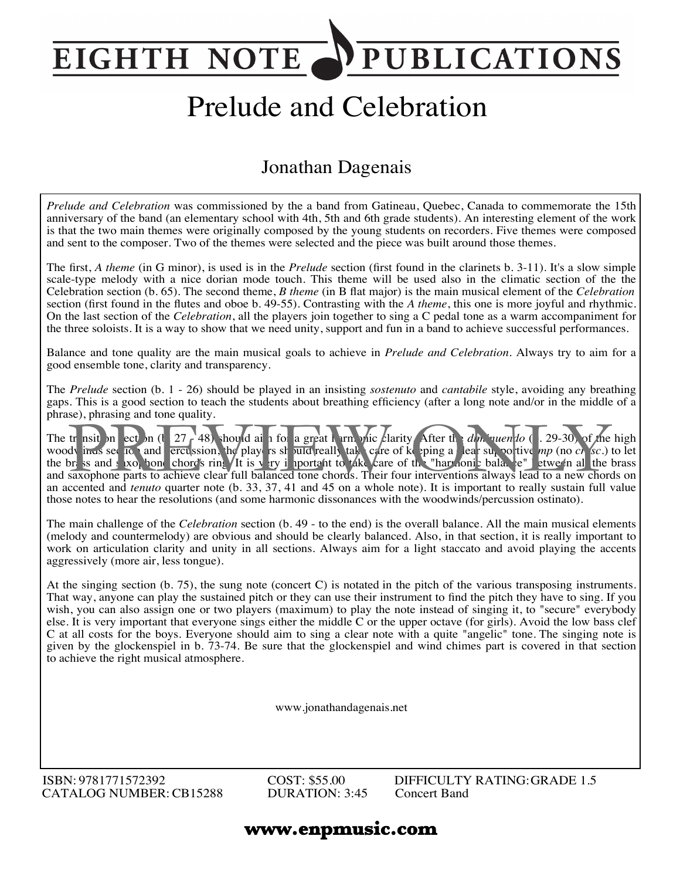## **PUBLICATIONS** EIGHTH NOTE

## Prelude and Celebration

## Jonathan Dagenais

*Prelude and Celebration* was commissioned by the a band from Gatineau, Quebec, Canada to commemorate the 15th anniversary of the band (an elementary school with 4th, 5th and 6th grade students). An interesting element of the work is that the two main themes were originally composed by the young students on recorders. Five themes were composed and sent to the composer. Two of the themes were selected and the piece was built around those themes.

The first, *A theme* (in G minor), is used is in the *Prelude* section (first found in the clarinets b. 3-11). It's a slow simple scale-type melody with a nice dorian mode touch. This theme will be used also in the climatic section of the the Celebration section (b. 65). The second theme, *B theme* (in B flat major) is the main musical element of the *Celebration* section (first found in the flutes and oboe b. 49-55). Contrasting with the *A theme*, this one is more joyful and rhythmic. On the last section of the *Celebration*, all the players join together to sing a C pedal tone as a warm accompaniment for the three soloists. It is a way to show that we need unity, support and fun in a band to achieve successful performances.

Balance and tone quality are the main musical goals to achieve in *Prelude and Celebration*. Always try to aim for a good ensemble tone, clarity and transparency.

The *Prelude* section (b. 1 - 26) should be played in an insisting *sostenuto* and *cantabile* style, avoiding any breathing gaps. This is a good section to teach the students about breathing efficiency (after a long note and/or in the middle of a phrase), phrasing and tone quality.

The transition section (b. 27 - 48) should aim for a great harmonic clarity. After the *diminuendo* (b. 29-30) of the high woody inds section and ercussion, he players should really take care of keeping a clear supportive *mp* (no *cresc.*) to let the brass and saxophone chords ring. It is very important to take care of the "harmonic balance" between all the brass and saxophone parts to achieve clear full balanced tone chords. Their four interventions always lead to a new chords on an accented and *tenuto* quarter note (b. 33, 37, 41 and 45 on a whole note). It is important to really sustain full value those notes to hear the resolutions (and some harmonic dissonances with the woodwinds/percussion ostinato). Example to the dimension of the control of the sax option and the sax option and the control of the sax option of the sax option and the sax option of the sax option of the sax option of the sax option of the sax option o

The main challenge of the *Celebration* section (b. 49 - to the end) is the overall balance. All the main musical elements (melody and countermelody) are obvious and should be clearly balanced. Also, in that section, it is really important to work on articulation clarity and unity in all sections. Always aim for a light staccato and avoid playing the accents aggressively (more air, less tongue).

At the singing section (b. 75), the sung note (concert C) is notated in the pitch of the various transposing instruments. That way, anyone can play the sustained pitch or they can use their instrument to find the pitch they have to sing. If you wish, you can also assign one or two players (maximum) to play the note instead of singing it, to "secure" everybody else. It is very important that everyone sings either the middle C or the upper octave (for girls). Avoid the low bass clef C at all costs for the boys. Everyone should aim to sing a clear note with a quite "angelic" tone. The singing note is given by the glockenspiel in b. 73-74. Be sure that the glockenspiel and wind chimes part is covered in that section to achieve the right musical atmosphere.

www.jonathandagenais.net

ISBN: 9781771572392 CATALOG NUMBER:CB15288 COST: \$55.00 DURATION: 3:45 DIFFICULTY RATING:GRADE 1.5 Concert Band

**www.enpmusic.com**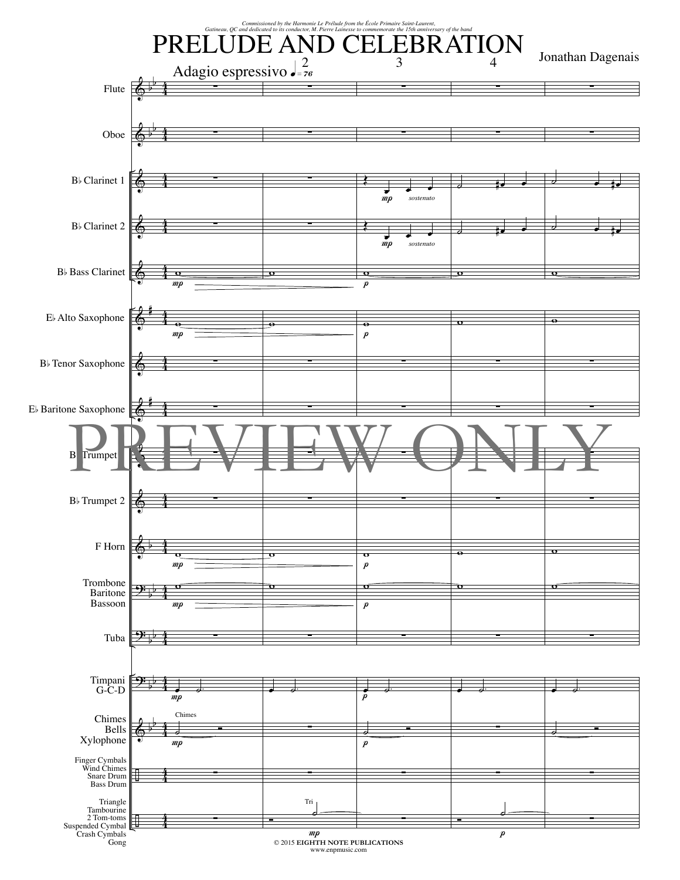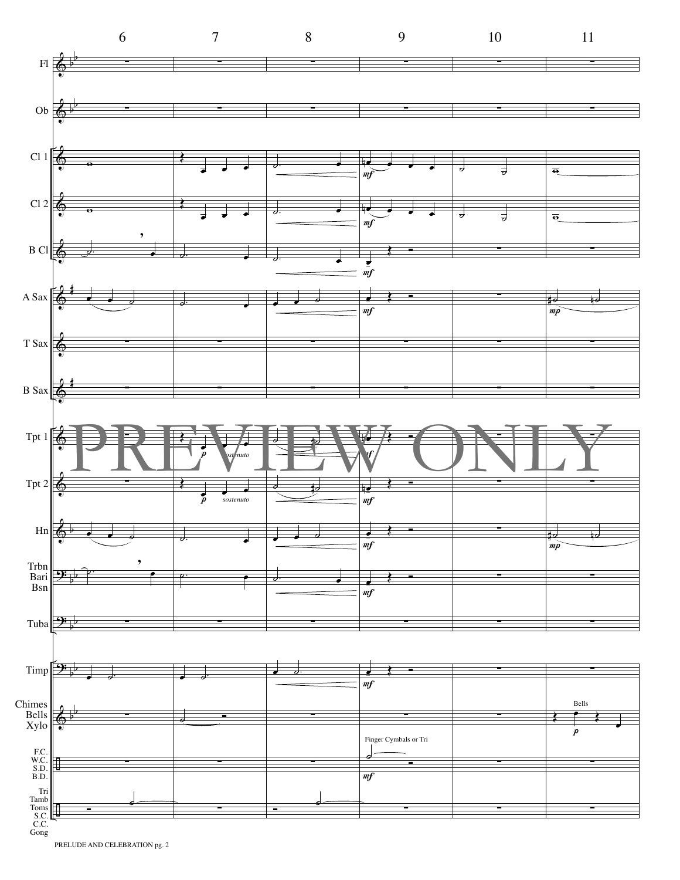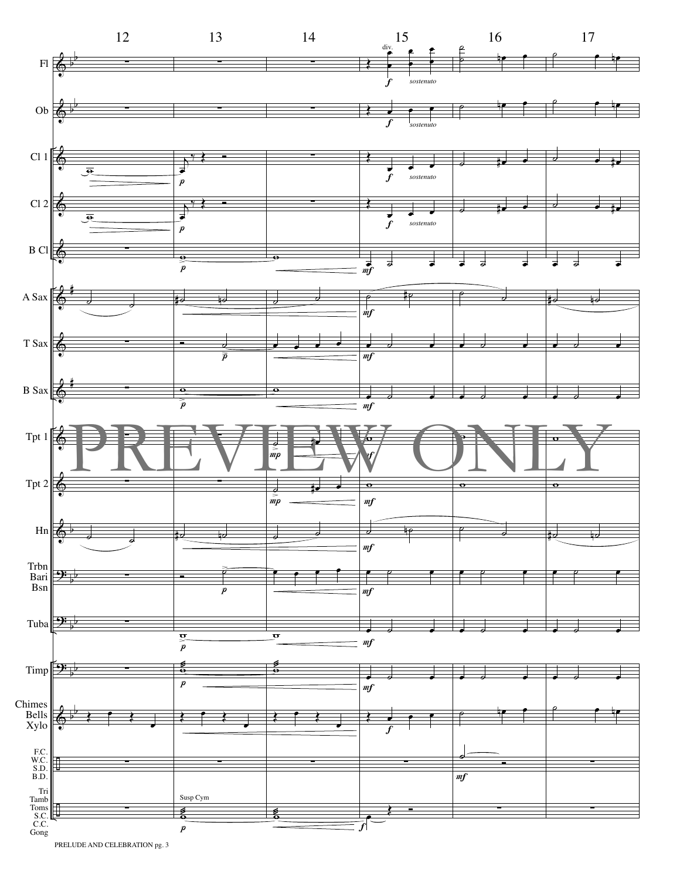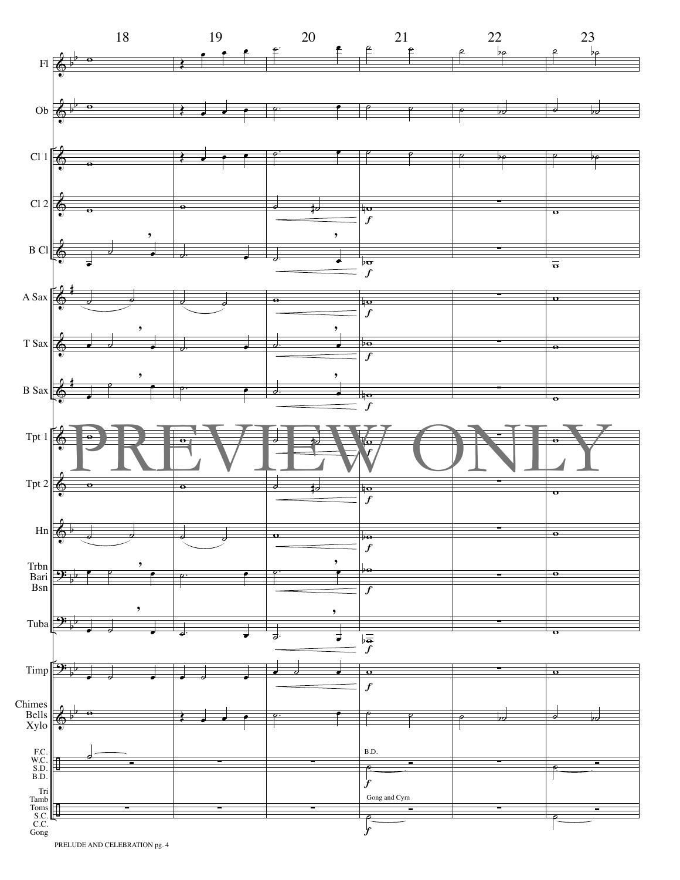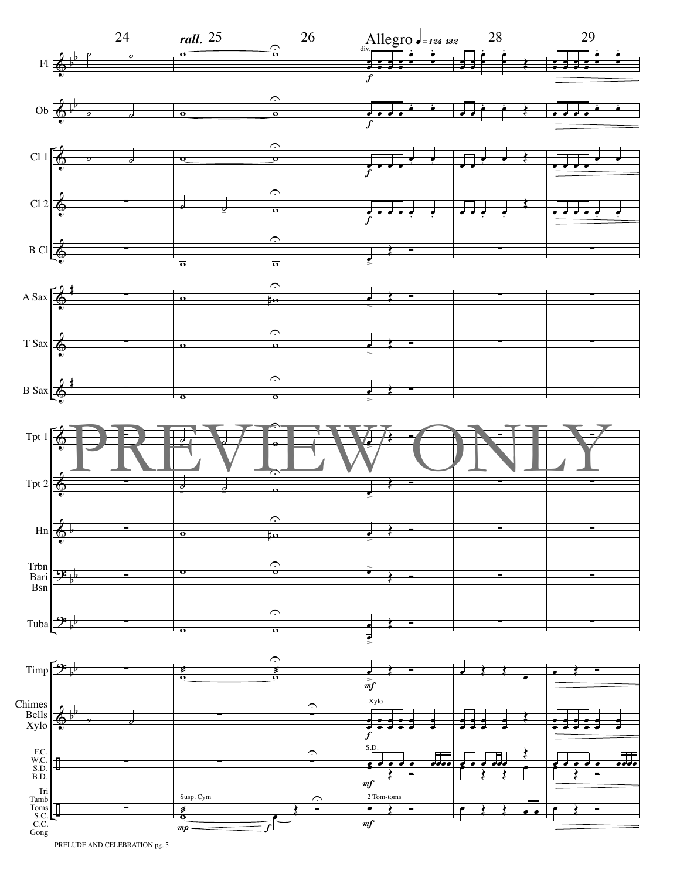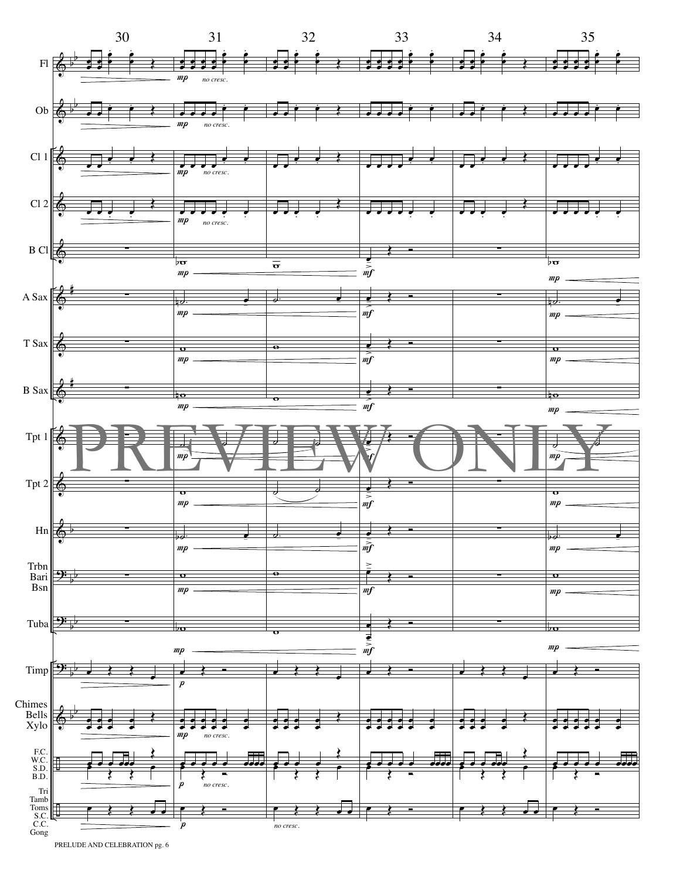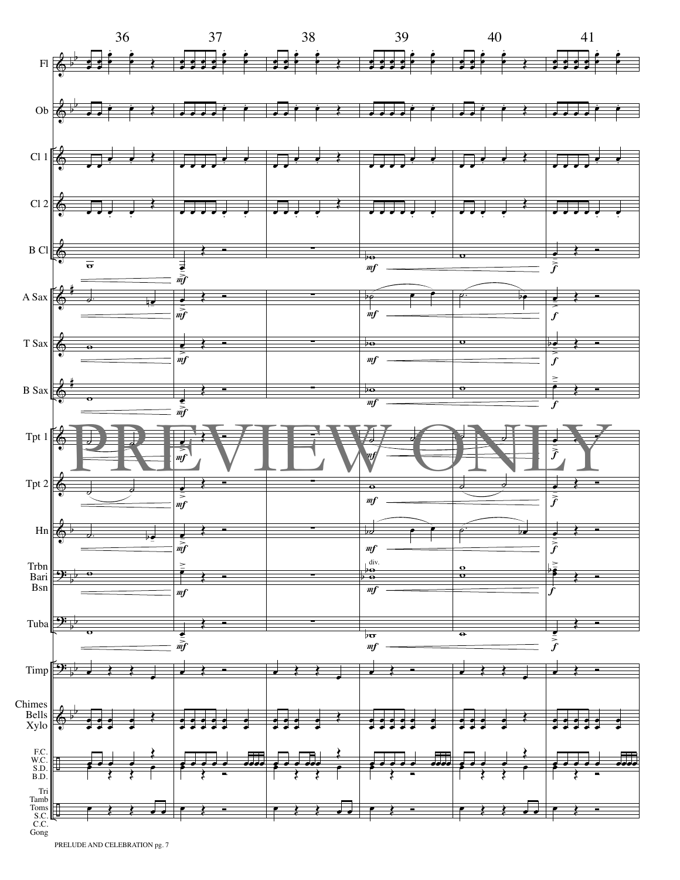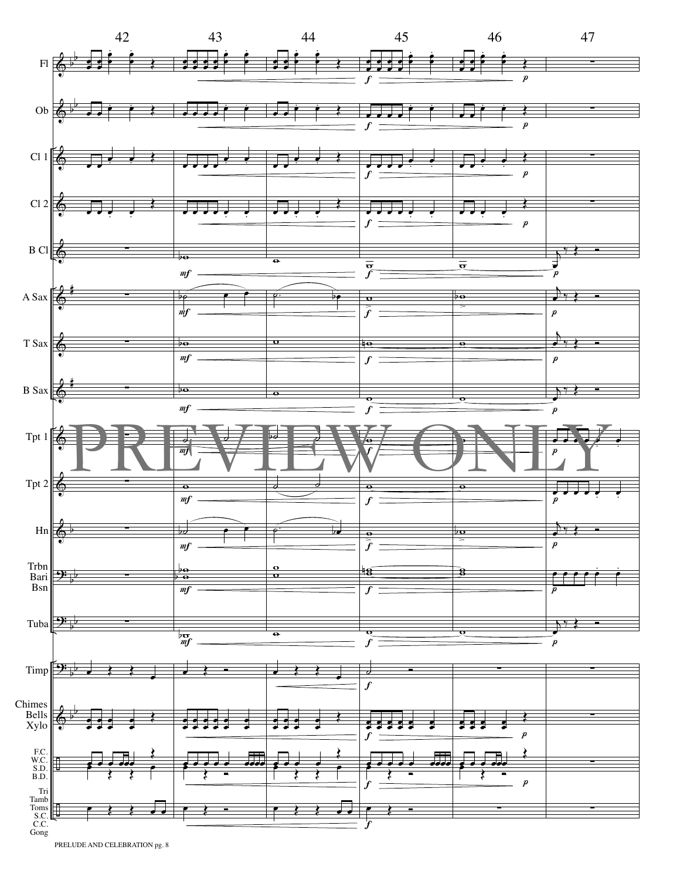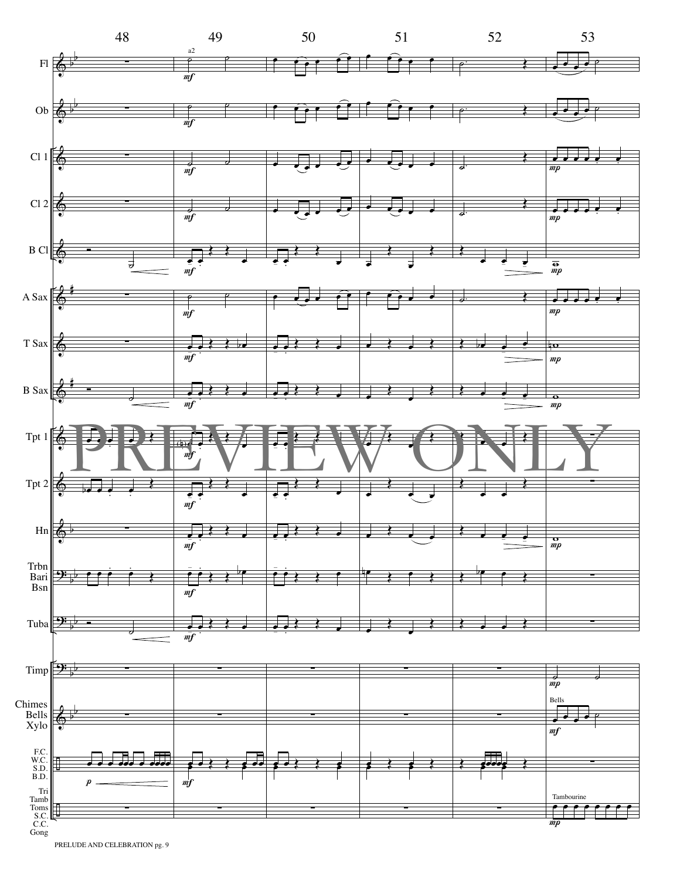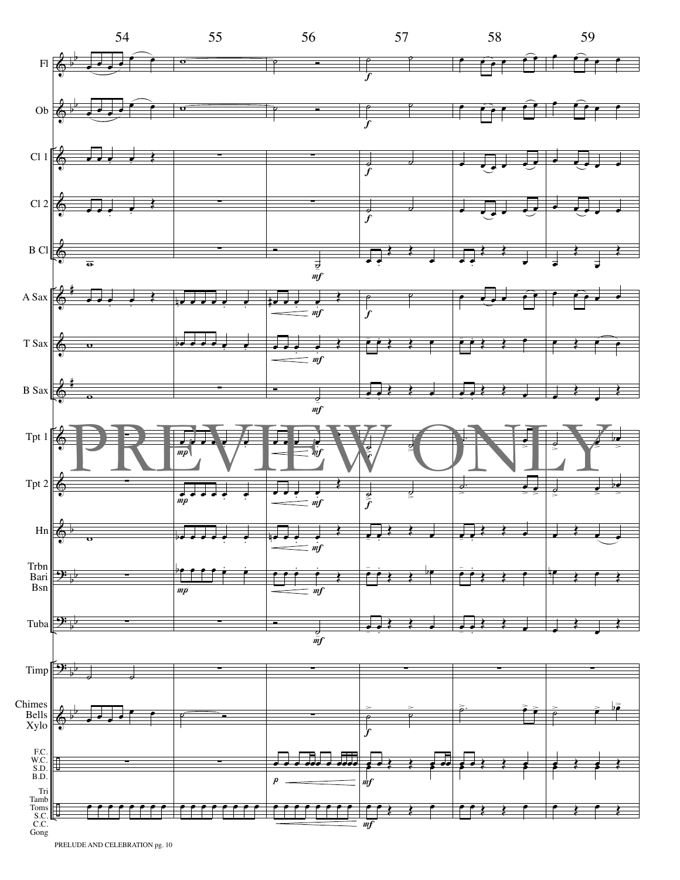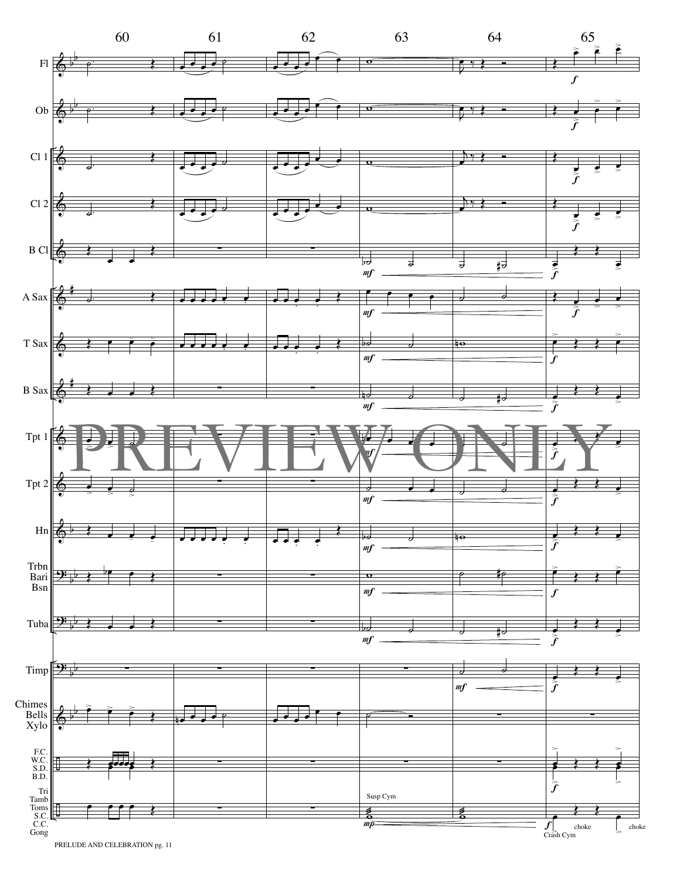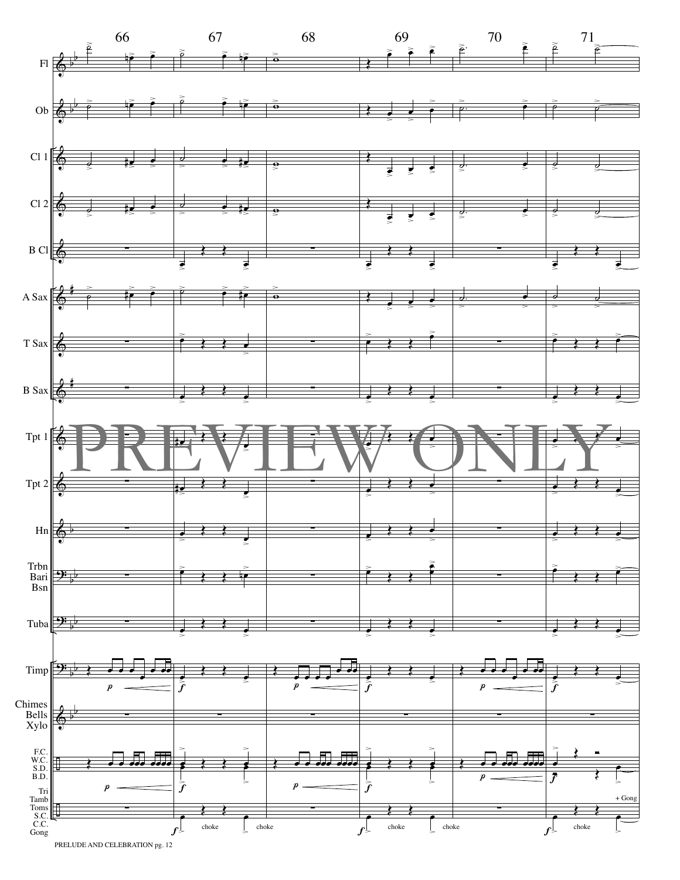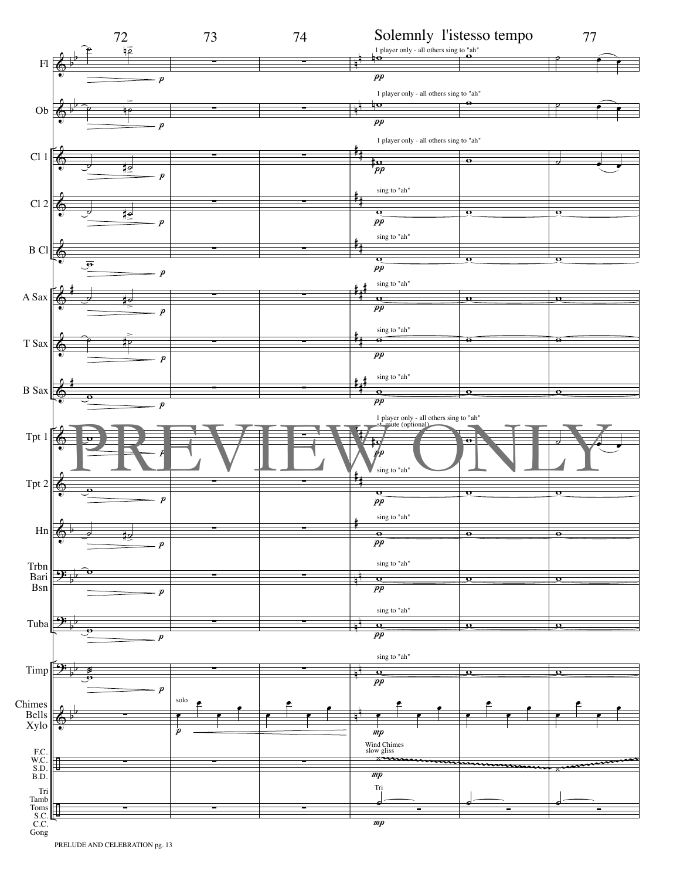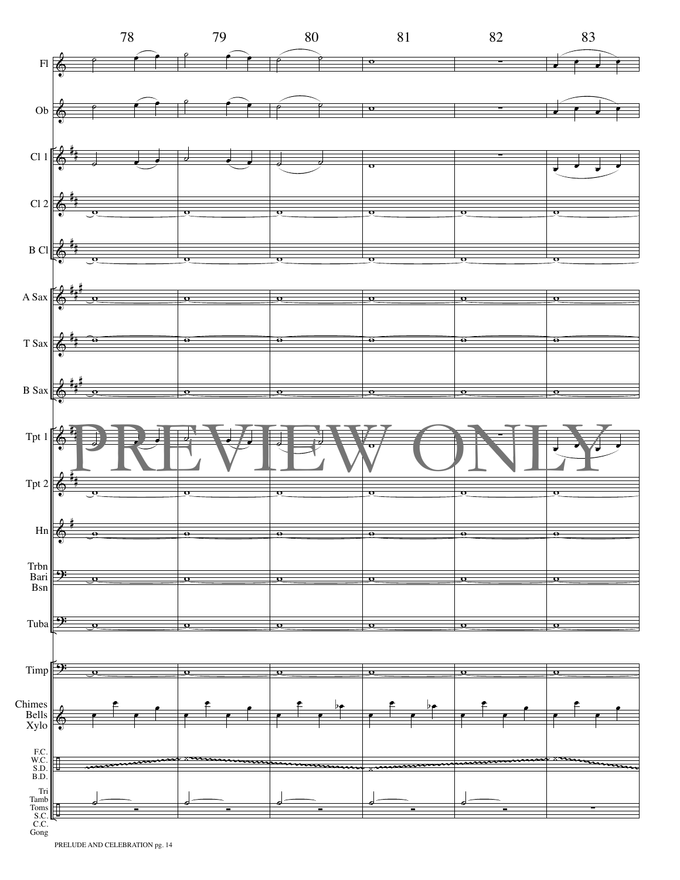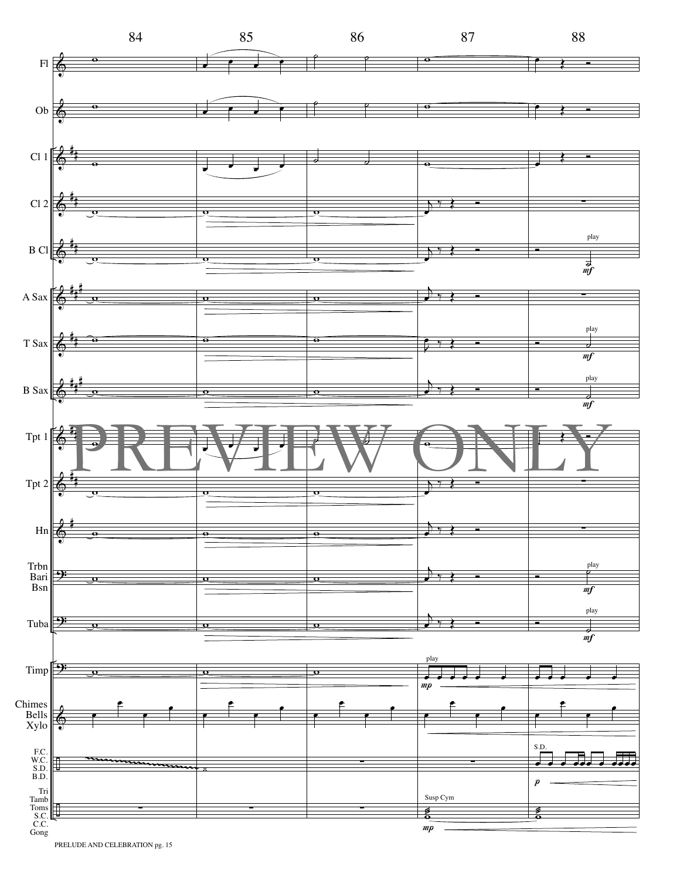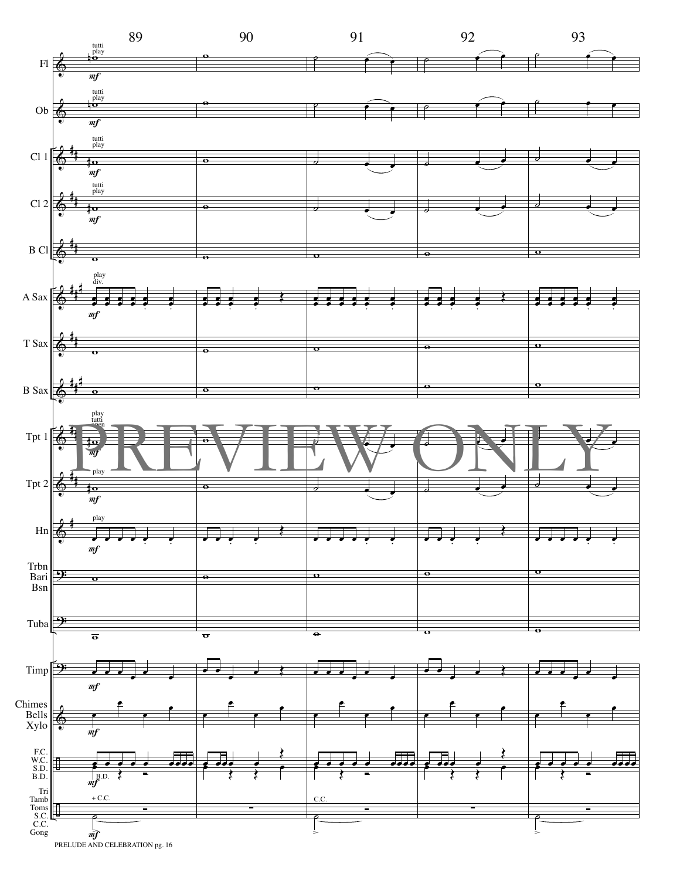